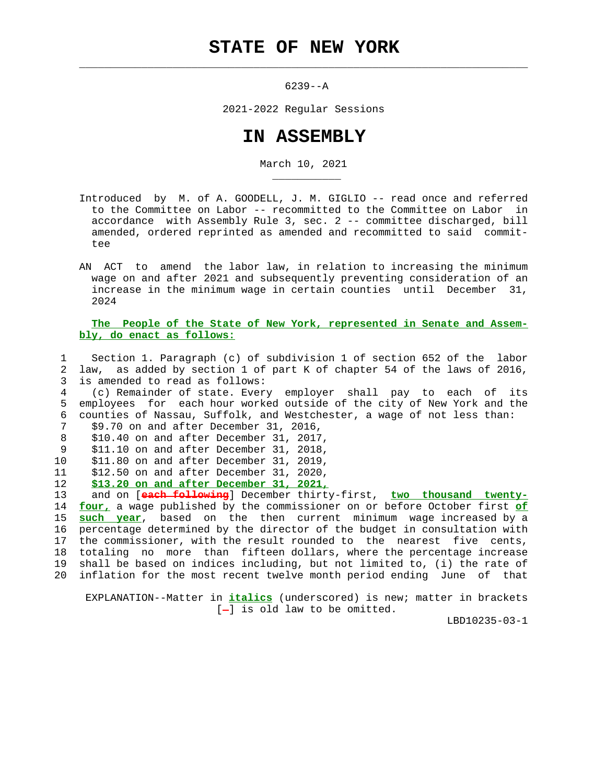$\mathcal{L}_\text{max} = \frac{1}{2} \sum_{i=1}^{n} \frac{1}{2} \sum_{i=1}^{n} \frac{1}{2} \sum_{i=1}^{n} \frac{1}{2} \sum_{i=1}^{n} \frac{1}{2} \sum_{i=1}^{n} \frac{1}{2} \sum_{i=1}^{n} \frac{1}{2} \sum_{i=1}^{n} \frac{1}{2} \sum_{i=1}^{n} \frac{1}{2} \sum_{i=1}^{n} \frac{1}{2} \sum_{i=1}^{n} \frac{1}{2} \sum_{i=1}^{n} \frac{1}{2} \sum_{i=1}^{n} \frac{1$ 

6239--A

2021-2022 Regular Sessions

## **IN ASSEMBLY**

March 10, 2021

- Introduced by M. of A. GOODELL, J. M. GIGLIO -- read once and referred to the Committee on Labor -- recommitted to the Committee on Labor in accordance with Assembly Rule 3, sec. 2 -- committee discharged, bill amended, ordered reprinted as amended and recommitted to said commit tee
- AN ACT to amend the labor law, in relation to increasing the minimum wage on and after 2021 and subsequently preventing consideration of an increase in the minimum wage in certain counties until December 31, 2024

 **The People of the State of New York, represented in Senate and Assem bly, do enact as follows:**

 1 Section 1. Paragraph (c) of subdivision 1 of section 652 of the labor 2 law, as added by section 1 of part K of chapter 54 of the laws of 2016, 3 is amended to read as follows:

 4 (c) Remainder of state. Every employer shall pay to each of its 5 employees for each hour worked outside of the city of New York and the 6 counties of Nassau, Suffolk, and Westchester, a wage of not less than: 7 \$9.70 on and after December 31, 2016,

```
 8 $10.40 on and after December 31, 2017,
```
\_\_\_\_\_\_\_\_\_\_\_

- 9 \$11.10 on and after December 31, 2018,
- 
- 10 \$11.80 on and after December 31, 2019, 11 \$12.50 on and after December 31, 2020,
- 12 **\$13.20 on and after December 31, 2021,**

 13 and on [**each following**] December thirty-first, **two thousand twenty-** 14 **four,** a wage published by the commissioner on or before October first **of** 15 **such year**, based on the then current minimum wage increased by a 16 percentage determined by the director of the budget in consultation with 17 the commissioner, with the result rounded to the nearest five cents, 18 totaling no more than fifteen dollars, where the percentage increase 19 shall be based on indices including, but not limited to, (i) the rate of

20 inflation for the most recent twelve month period ending June of that

 EXPLANATION--Matter in **italics** (underscored) is new; matter in brackets  $[-]$  is old law to be omitted.

LBD10235-03-1